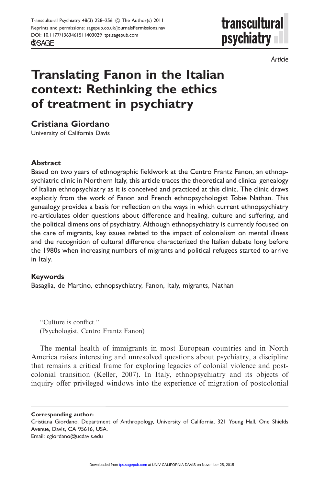

Article

# Translating Fanon in the Italian context: Rethinking the ethics of treatment in psychiatry

Cristiana Giordano

University of California Davis

## **Abstract**

Based on two years of ethnographic fieldwork at the Centro Frantz Fanon, an ethnopsychiatric clinic in Northern Italy, this article traces the theoretical and clinical genealogy of Italian ethnopsychiatry as it is conceived and practiced at this clinic. The clinic draws explicitly from the work of Fanon and French ethnopsychologist Tobie Nathan. This genealogy provides a basis for reflection on the ways in which current ethnopsychiatry re-articulates older questions about difference and healing, culture and suffering, and the political dimensions of psychiatry. Although ethnopsychiatry is currently focused on the care of migrants, key issues related to the impact of colonialism on mental illness and the recognition of cultural difference characterized the Italian debate long before the 1980s when increasing numbers of migrants and political refugees started to arrive in Italy.

## Keywords

Basaglia, de Martino, ethnopsychiatry, Fanon, Italy, migrants, Nathan

''Culture is conflict.'' (Psychologist, Centro Frantz Fanon)

The mental health of immigrants in most European countries and in North America raises interesting and unresolved questions about psychiatry, a discipline that remains a critical frame for exploring legacies of colonial violence and postcolonial transition (Keller, 2007). In Italy, ethnopsychiatry and its objects of inquiry offer privileged windows into the experience of migration of postcolonial

Corresponding author:

Cristiana Giordano, Department of Anthropology, University of California, 321 Young Hall, One Shields Avenue, Davis, CA 95616, USA. Email: cgiordano@ucdavis.edu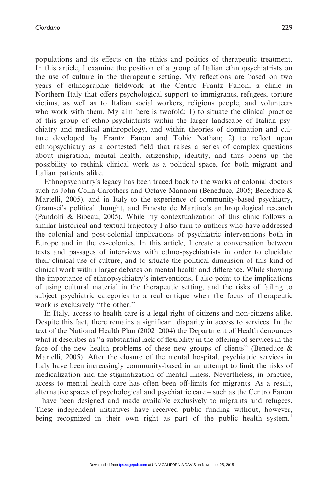populations and its effects on the ethics and politics of therapeutic treatment. In this article, I examine the position of a group of Italian ethnopsychiatrists on the use of culture in the therapeutic setting. My reflections are based on two years of ethnographic fieldwork at the Centro Frantz Fanon, a clinic in Northern Italy that offers psychological support to immigrants, refugees, torture victims, as well as to Italian social workers, religious people, and volunteers who work with them. My aim here is twofold: 1) to situate the clinical practice of this group of ethno-psychiatrists within the larger landscape of Italian psychiatry and medical anthropology, and within theories of domination and culture developed by Frantz Fanon and Tobie Nathan; 2) to reflect upon ethnopsychiatry as a contested field that raises a series of complex questions about migration, mental health, citizenship, identity, and thus opens up the possibility to rethink clinical work as a political space, for both migrant and Italian patients alike.

Ethnopsychiatry's legacy has been traced back to the works of colonial doctors such as John Colin Carothers and Octave Mannoni (Beneduce, 2005; Beneduce & Martelli, 2005), and in Italy to the experience of community-based psychiatry, Gramsci's political thought, and Ernesto de Martino's anthropological research (Pandolfi & Bibeau, 2005). While my contextualization of this clinic follows a similar historical and textual trajectory I also turn to authors who have addressed the colonial and post-colonial implications of psychiatric interventions both in Europe and in the ex-colonies. In this article, I create a conversation between texts and passages of interviews with ethno-psychiatrists in order to elucidate their clinical use of culture, and to situate the political dimension of this kind of clinical work within larger debates on mental health and difference. While showing the importance of ethnopsychiatry's interventions, I also point to the implications of using cultural material in the therapeutic setting, and the risks of failing to subject psychiatric categories to a real critique when the focus of therapeutic work is exclusively ''the other.''

In Italy, access to health care is a legal right of citizens and non-citizens alike. Despite this fact, there remains a significant disparity in access to services. In the text of the National Health Plan (2002–2004) the Department of Health denounces what it describes as ''a substantial lack of flexibility in the offering of services in the face of the new health problems of these new groups of clients'' (Beneduce  $\&$ Martelli, 2005). After the closure of the mental hospital, psychiatric services in Italy have been increasingly community-based in an attempt to limit the risks of medicalization and the stigmatization of mental illness. Nevertheless, in practice, access to mental health care has often been off-limits for migrants. As a result, alternative spaces of psychological and psychiatric care – such as the Centro Fanon – have been designed and made available exclusively to migrants and refugees. These independent initiatives have received public funding without, however, being recognized in their own right as part of the public health system.<sup>1</sup>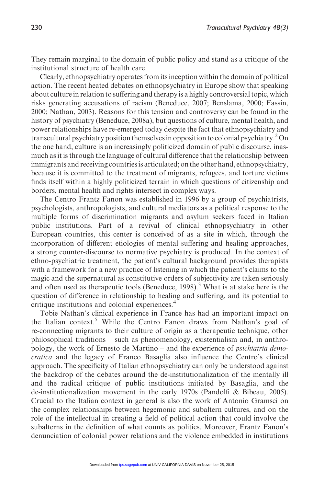They remain marginal to the domain of public policy and stand as a critique of the institutional structure of health care.

Clearly, ethnopsychiatry operates from its inception within the domain of political action. The recent heated debates on ethnopsychiatry in Europe show that speaking about culture in relation to suffering and therapy is a highly controversial topic, which risks generating accusations of racism (Beneduce, 2007; Benslama, 2000; Fassin, 2000; Nathan, 2003). Reasons for this tension and controversy can be found in the history of psychiatry (Beneduce, 2008a), but questions of culture, mental health, and power relationships have re-emerged today despite the fact that ethnopsychiatry and transcultural psychiatry position themselves in opposition to colonial psychiatry.<sup>2</sup>On the one hand, culture is an increasingly politicized domain of public discourse, inasmuch as it is through the language of cultural difference that the relationship between immigrants and receiving countries is articulated; on the other hand, ethnopsychiatry, because it is committed to the treatment of migrants, refugees, and torture victims finds itself within a highly politicized terrain in which questions of citizenship and borders, mental health and rights intersect in complex ways.

The Centro Frantz Fanon was established in 1996 by a group of psychiatrists, psychologists, anthropologists, and cultural mediators as a political response to the multiple forms of discrimination migrants and asylum seekers faced in Italian public institutions. Part of a revival of clinical ethnopsychiatry in other European countries, this center is conceived of as a site in which, through the incorporation of different etiologies of mental suffering and healing approaches, a strong counter-discourse to normative psychiatry is produced. In the context of ethno-psychiatric treatment, the patient's cultural background provides therapists with a framework for a new practice of listening in which the patient's claims to the magic and the supernatural as constitutive orders of subjectivity are taken seriously and often used as therapeutic tools (Beneduce,  $1998$ ).<sup>3</sup> What is at stake here is the question of difference in relationship to healing and suffering, and its potential to critique institutions and colonial experiences.<sup>4</sup>

Tobie Nathan's clinical experience in France has had an important impact on the Italian context.<sup>5</sup> While the Centro Fanon draws from Nathan's goal of re-connecting migrants to their culture of origin as a therapeutic technique, other philosophical traditions – such as phenomenology, existentialism and, in anthropology, the work of Ernesto de Martino – and the experience of psichiatria democratica and the legacy of Franco Basaglia also influence the Centro's clinical approach. The specificity of Italian ethnopsychiatry can only be understood against the backdrop of the debates around the de-institutionalization of the mentally ill and the radical critique of public institutions initiated by Basaglia, and the de-institutionalization movement in the early 1970s (Pandolfi & Bibeau, 2005). Crucial to the Italian context in general is also the work of Antonio Gramsci on the complex relationships between hegemonic and subaltern cultures, and on the role of the intellectual in creating a field of political action that could involve the subalterns in the definition of what counts as politics. Moreover, Frantz Fanon's denunciation of colonial power relations and the violence embedded in institutions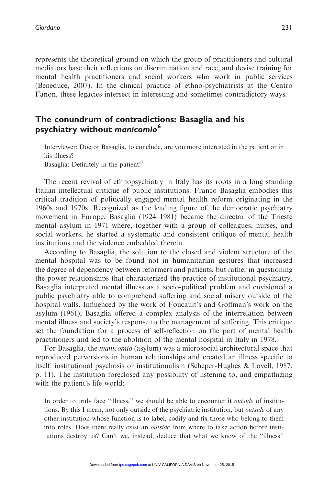represents the theoretical ground on which the group of practitioners and cultural mediators base their reflections on discrimination and race, and devise training for mental health practitioners and social workers who work in public services (Beneduce, 2007). In the clinical practice of ethno-psychiatrists at the Centro Fanon, these legacies intersect in interesting and sometimes contradictory ways.

## The conundrum of contradictions: Basaglia and his psychiatry without manicomio<sup>6</sup>

Interviewer: Doctor Basaglia, to conclude, are you more interested in the patient or in his illness? Basaglia: Definitely in the patient!<sup>7</sup>

The recent revival of ethnopsychiatry in Italy has its roots in a long standing Italian intellectual critique of public institutions. Franco Basaglia embodies this critical tradition of politically engaged mental health reform originating in the 1960s and 1970s. Recognized as the leading figure of the democratic psychiatry movement in Europe, Basaglia (1924–1981) became the director of the Trieste mental asylum in 1971 where, together with a group of colleagues, nurses, and social workers, he started a systematic and consistent critique of mental health institutions and the violence embedded therein.

According to Basaglia, the solution to the closed and violent structure of the mental hospital was to be found not in humanitarian gestures that increased the degree of dependency between reformers and patients, but rather in questioning the power relationships that characterized the practice of institutional psychiatry. Basaglia interpreted mental illness as a socio-political problem and envisioned a public psychiatry able to comprehend suffering and social misery outside of the hospital walls. Influenced by the work of Foucault's and Goffman's work on the asylum (1961), Basaglia offered a complex analysis of the interrelation between mental illness and society's response to the management of suffering. This critique set the foundation for a process of self-reflection on the part of mental health practitioners and led to the abolition of the mental hospital in Italy in 1978.

For Basaglia, the manicomio (asylum) was a microsocial architectural space that reproduced perversions in human relationships and created an illness specific to itself: institutional psychosis or institutionalism (Scheper-Hughes & Lovell, 1987, p. 11). The institution foreclosed any possibility of listening to, and empathizing with the patient's life world:

In order to truly face "illness," we should be able to encounter it *outside* of institutions. By this I mean, not only outside of the psychiatric institution, but *outside* of any other institution whose function is to label, codify and fix those who belong to them into roles. Does there really exist an outside from where to take action before institutions destroy us? Can't we, instead, deduce that what we know of the ''illness''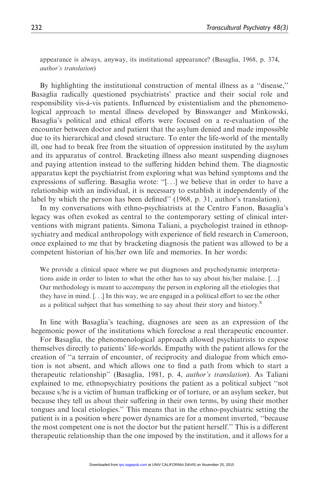appearance is always, anyway, its institutional appearance? (Basaglia, 1968, p. 374, author's translation)

By highlighting the institutional construction of mental illness as a ''disease,'' Basaglia radically questioned psychiatrists' practice and their social role and responsibility vis-a`-vis patients. Influenced by existentialism and the phenomenological approach to mental illness developed by Binswanger and Minkowski, Basaglia's political and ethical efforts were focused on a re-evaluation of the encounter between doctor and patient that the asylum denied and made impossible due to its hierarchical and closed structure. To enter the life-world of the mentally ill, one had to break free from the situation of oppression instituted by the asylum and its apparatus of control. Bracketing illness also meant suspending diagnoses and paying attention instead to the suffering hidden behind them. The diagnostic apparatus kept the psychiatrist from exploring what was behind symptoms and the expressions of suffering. Basaglia wrote: ''[...] we believe that in order to have a relationship with an individual, it is necessary to establish it independently of the label by which the person has been defined'' (1968, p. 31, author's translation).

In my conversations with ethno-psychiatrists at the Centro Fanon, Basaglia's legacy was often evoked as central to the contemporary setting of clinical interventions with migrant patients. Simona Taliani, a psychologist trained in ethnopsychiatry and medical anthropology with experience of field research in Cameroon, once explained to me that by bracketing diagnosis the patient was allowed to be a competent historian of his/her own life and memories. In her words:

We provide a clinical space where we put diagnoses and psychodynamic interpretations aside in order to listen to what the other has to say about his/her malaise. [...] Our methodology is meant to accompany the person in exploring all the etiologies that they have in mind. [...] In this way, we are engaged in a political effort to see the other as a political subject that has something to say about their story and history.<sup>8</sup>

In line with Basaglia's teaching, diagnoses are seen as an expression of the hegemonic power of the institutions which foreclose a real therapeutic encounter.

For Basaglia, the phenomenological approach allowed psychiatrists to expose themselves directly to patients' life-worlds. Empathy with the patient allows for the creation of ''a terrain of encounter, of reciprocity and dialogue from which emotion is not absent, and which allows one to find a path from which to start a therapeutic relationship" (Basaglia, 1981, p. 4, *author's translation*). As Taliani explained to me, ethnopsychiatry positions the patient as a political subject ''not because s/he is a victim of human trafficking or of torture, or an asylum seeker, but because they tell us about their suffering in their own terms, by using their mother tongues and local etiologies.'' This means that in the ethno-psychiatric setting the patient is in a position where power dynamics are for a moment inverted, ''because the most competent one is not the doctor but the patient herself.'' This is a different therapeutic relationship than the one imposed by the institution, and it allows for a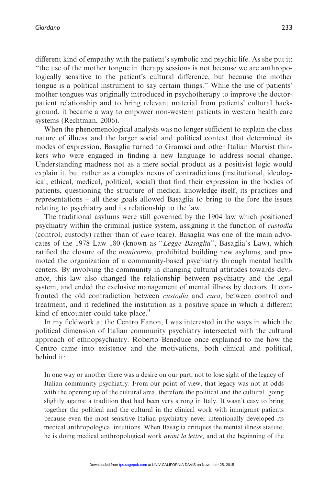different kind of empathy with the patient's symbolic and psychic life. As she put it: ''the use of the mother tongue in therapy sessions is not because we are anthropologically sensitive to the patient's cultural difference, but because the mother tongue is a political instrument to say certain things.'' While the use of patients' mother tongues was originally introduced in psychotherapy to improve the doctorpatient relationship and to bring relevant material from patients' cultural background, it became a way to empower non-western patients in western health care systems (Rechtman, 2006).

When the phenomenological analysis was no longer sufficient to explain the class nature of illness and the larger social and political context that determined its modes of expression, Basaglia turned to Gramsci and other Italian Marxist thinkers who were engaged in finding a new language to address social change. Understanding madness not as a mere social product as a positivist logic would explain it, but rather as a complex nexus of contradictions (institutional, ideological, ethical, medical, political, social) that find their expression in the bodies of patients, questioning the structure of medical knowledge itself, its practices and representations – all these goals allowed Basaglia to bring to the fore the issues relating to psychiatry and its relationship to the law.

The traditional asylums were still governed by the 1904 law which positioned psychiatry within the criminal justice system, assigning it the function of custodia (control, custody) rather than of cura (care). Basaglia was one of the main advocates of the 1978 Law 180 (known as "Legge Basaglia", Basaglia's Law), which ratified the closure of the manicomio, prohibited building new asylums, and promoted the organization of a community-based psychiatry through mental health centers. By involving the community in changing cultural attitudes towards deviance, this law also changed the relationship between psychiatry and the legal system, and ended the exclusive management of mental illness by doctors. It confronted the old contradiction between custodia and cura, between control and treatment, and it redefined the institution as a positive space in which a different kind of encounter could take place.<sup>9</sup>

In my fieldwork at the Centro Fanon, I was interested in the ways in which the political dimension of Italian community psychiatry intersected with the cultural approach of ethnopsychiatry. Roberto Beneduce once explained to me how the Centro came into existence and the motivations, both clinical and political, behind it:

In one way or another there was a desire on our part, not to lose sight of the legacy of Italian community psychiatry. From our point of view, that legacy was not at odds with the opening up of the cultural area, therefore the political and the cultural, going slightly against a tradition that had been very strong in Italy. It wasn't easy to bring together the political and the cultural in the clinical work with immigrant patients because even the most sensitive Italian psychiatry never intentionally developed its medical anthropological intuitions. When Basaglia critiques the mental illness statute, he is doing medical anthropological work avant la lettre, and at the beginning of the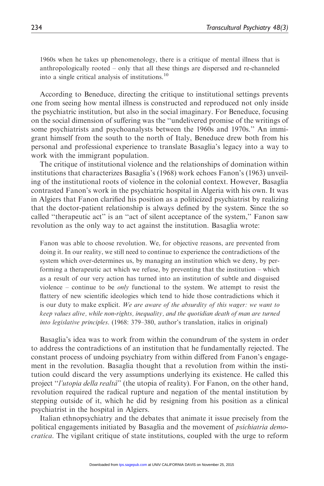1960s when he takes up phenomenology, there is a critique of mental illness that is anthropologically rooted – only that all these things are dispersed and re-channeled into a single critical analysis of institutions. $^{10}$ 

According to Beneduce, directing the critique to institutional settings prevents one from seeing how mental illness is constructed and reproduced not only inside the psychiatric institution, but also in the social imaginary. For Beneduce, focusing on the social dimension of suffering was the ''undelivered promise of the writings of some psychiatrists and psychoanalysts between the 1960s and 1970s.'' An immigrant himself from the south to the north of Italy, Beneduce drew both from his personal and professional experience to translate Basaglia's legacy into a way to work with the immigrant population.

The critique of institutional violence and the relationships of domination within institutions that characterizes Basaglia's (1968) work echoes Fanon's (1963) unveiling of the institutional roots of violence in the colonial context. However, Basaglia contrasted Fanon's work in the psychiatric hospital in Algeria with his own. It was in Algiers that Fanon clarified his position as a politicized psychiatrist by realizing that the doctor-patient relationship is always defined by the system. Since the so called ''therapeutic act'' is an ''act of silent acceptance of the system,'' Fanon saw revolution as the only way to act against the institution. Basaglia wrote:

Fanon was able to choose revolution. We, for objective reasons, are prevented from doing it. In our reality, we still need to continue to experience the contradictions of the system which over-determines us, by managing an institution which we deny, by performing a therapeutic act which we refuse, by preventing that the institution – which as a result of our very action has turned into an institution of subtle and disguised violence – continue to be *only* functional to the system. We attempt to resist the flattery of new scientific ideologies which tend to hide those contradictions which it is our duty to make explicit. We are aware of the absurdity of this wager: we want to keep values alive, while non-rights, inequality, and the quotidian death of man are turned into legislative principles. (1968: 379–380, author's translation, italics in original)

Basaglia's idea was to work from within the conundrum of the system in order to address the contradictions of an institution that he fundamentally rejected. The constant process of undoing psychiatry from within differed from Fanon's engagement in the revolution. Basaglia thought that a revolution from within the institution could discard the very assumptions underlying its existence. He called this project "*l'utopia della realtà*" (the utopia of reality). For Fanon, on the other hand, revolution required the radical rupture and negation of the mental institution by stepping outside of it, which he did by resigning from his position as a clinical psychiatrist in the hospital in Algiers.

Italian ethnopsychiatry and the debates that animate it issue precisely from the political engagements initiated by Basaglia and the movement of psichiatria democratica. The vigilant critique of state institutions, coupled with the urge to reform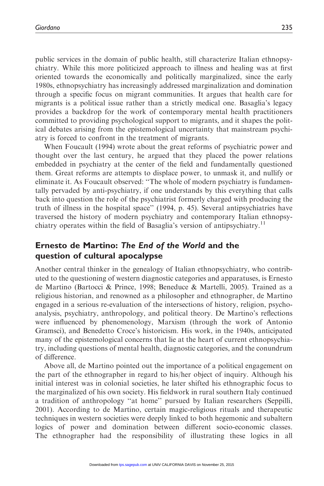public services in the domain of public health, still characterize Italian ethnopsychiatry. While this more politicized approach to illness and healing was at first oriented towards the economically and politically marginalized, since the early 1980s, ethnopsychiatry has increasingly addressed marginalization and domination through a specific focus on migrant communities. It argues that health care for migrants is a political issue rather than a strictly medical one. Basaglia's legacy provides a backdrop for the work of contemporary mental health practitioners committed to providing psychological support to migrants, and it shapes the political debates arising from the epistemological uncertainty that mainstream psychiatry is forced to confront in the treatment of migrants.

When Foucault (1994) wrote about the great reforms of psychiatric power and thought over the last century, he argued that they placed the power relations embedded in psychiatry at the center of the field and fundamentally questioned them. Great reforms are attempts to displace power, to unmask it, and nullify or eliminate it. As Foucault observed: ''The whole of modern psychiatry is fundamentally pervaded by anti-psychiatry, if one understands by this everything that calls back into question the role of the psychiatrist formerly charged with producing the truth of illness in the hospital space'' (1994, p. 45). Several antipsychiatries have traversed the history of modern psychiatry and contemporary Italian ethnopsychiatry operates within the field of Basaglia's version of antipsychiatry.<sup>11</sup>

# Ernesto de Martino: The End of the World and the question of cultural apocalypse

Another central thinker in the genealogy of Italian ethnopsychiatry, who contributed to the questioning of western diagnostic categories and apparatuses, is Ernesto de Martino (Bartocci & Prince, 1998; Beneduce & Martelli, 2005). Trained as a religious historian, and renowned as a philosopher and ethnographer, de Martino engaged in a serious re-evaluation of the intersections of history, religion, psychoanalysis, psychiatry, anthropology, and political theory. De Martino's reflections were influenced by phenomenology, Marxism (through the work of Antonio Gramsci), and Benedetto Croce's historicism. His work, in the 1940s, anticipated many of the epistemological concerns that lie at the heart of current ethnopsychiatry, including questions of mental health, diagnostic categories, and the conundrum of difference.

Above all, de Martino pointed out the importance of a political engagement on the part of the ethnographer in regard to his/her object of inquiry. Although his initial interest was in colonial societies, he later shifted his ethnographic focus to the marginalized of his own society. His fieldwork in rural southern Italy continued a tradition of anthropology ''at home'' pursued by Italian researchers (Seppilli, 2001). According to de Martino, certain magic-religious rituals and therapeutic techniques in western societies were deeply linked to both hegemonic and subaltern logics of power and domination between different socio-economic classes. The ethnographer had the responsibility of illustrating these logics in all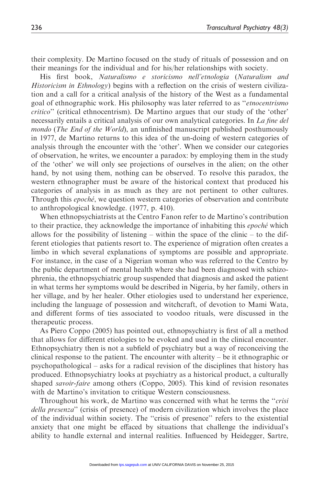their complexity. De Martino focused on the study of rituals of possession and on their meanings for the individual and for his/her relationships with society.

His first book, Naturalismo e storicismo nell'etnologia (Naturalism and Historicism in Ethnology) begins with a reflection on the crisis of western civilization and a call for a critical analysis of the history of the West as a fundamental goal of ethnographic work. His philosophy was later referred to as ''etnocentrismo critico'' (critical ethnocentrism). De Martino argues that our study of the 'other' necessarily entails a critical analysis of our own analytical categories. In La fine del mondo (The End of the World), an unfinished manuscript published posthumously in 1977, de Martino returns to this idea of the un-doing of western categories of analysis through the encounter with the 'other'. When we consider our categories of observation, he writes, we encounter a paradox: by employing them in the study of the 'other' we will only see projections of ourselves in the alien; on the other hand, by not using them, nothing can be observed. To resolve this paradox, the western ethnographer must be aware of the historical context that produced his categories of analysis in as much as they are not pertinent to other cultures. Through this *epoché*, we question western categories of observation and contribute to anthropological knowledge. (1977, p. 410).

When ethnopsychiatrists at the Centro Fanon refer to de Martino's contribution to their practice, they acknowledge the importance of inhabiting this *epoché* which allows for the possibility of listening – within the space of the clinic – to the different etiologies that patients resort to. The experience of migration often creates a limbo in which several explanations of symptoms are possible and appropriate. For instance, in the case of a Nigerian woman who was referred to the Centro by the public department of mental health where she had been diagnosed with schizophrenia, the ethnopsychiatric group suspended that diagnosis and asked the patient in what terms her symptoms would be described in Nigeria, by her family, others in her village, and by her healer. Other etiologies used to understand her experience, including the language of possession and witchcraft, of devotion to Mami Wata, and different forms of ties associated to voodoo rituals, were discussed in the therapeutic process.

As Piero Coppo (2005) has pointed out, ethnopsychiatry is first of all a method that allows for different etiologies to be evoked and used in the clinical encounter. Ethnopsychiatry then is not a subfield of psychiatry but a way of reconceiving the clinical response to the patient. The encounter with alterity – be it ethnographic or psychopathological – asks for a radical revision of the disciplines that history has produced. Ethnopsychiatry looks at psychiatry as a historical product, a culturally shaped *savoir-faire* among others (Coppo, 2005). This kind of revision resonates with de Martino's invitation to critique Western consciousness.

Throughout his work, de Martino was concerned with what he terms the "crisi della presenza'' (crisis of presence) of modern civilization which involves the place of the individual within society. The ''crisis of presence'' refers to the existential anxiety that one might be effaced by situations that challenge the individual's ability to handle external and internal realities. Influenced by Heidegger, Sartre,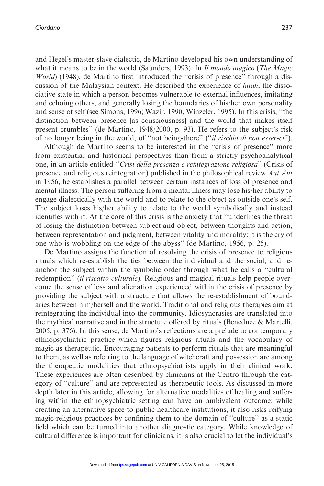and Hegel's master-slave dialectic, de Martino developed his own understanding of what it means to be in the world (Saunders, 1993). In *Il mondo magico (The Magic*) World) (1948), de Martino first introduced the "crisis of presence" through a discussion of the Malaysian context. He described the experience of latah, the dissociative state in which a person becomes vulnerable to external influences, imitating and echoing others, and generally losing the boundaries of his/her own personality and sense of self (see Simons, 1996; Wazir, 1990, Winzeler, 1995). In this crisis, ''the distinction between presence [as consciousness] and the world that makes itself present crumbles'' (de Martino, 1948/2000, p. 93). He refers to the subject's risk of no longer being in the world, of ''not being-there'' (''il rischio di non esser-ci'').

Although de Martino seems to be interested in the ''crisis of presence'' more from existential and historical perspectives than from a strictly psychoanalytical one, in an article entitled ''Crisi della presenza e reintegrazione religiosa'' (Crisis of presence and religious reintegration) published in the philosophical review Aut Aut in 1956, he establishes a parallel between certain instances of loss of presence and mental illness. The person suffering from a mental illness may lose his/her ability to engage dialectically with the world and to relate to the object as outside one's self. The subject loses his/her ability to relate to the world symbolically and instead identifies with it. At the core of this crisis is the anxiety that ''underlines the threat of losing the distinction between subject and object, between thoughts and action, between representation and judgment, between vitality and morality: it is the cry of one who is wobbling on the edge of the abyss'' (de Martino, 1956, p. 25).

De Martino assigns the function of resolving the crisis of presence to religious rituals which re-establish the ties between the individual and the social, and reanchor the subject within the symbolic order through what he calls a ''cultural redemption" (il riscatto culturale). Religious and magical rituals help people overcome the sense of loss and alienation experienced within the crisis of presence by providing the subject with a structure that allows the re-establishment of boundaries between him/herself and the world. Traditional and religious therapies aim at reintegrating the individual into the community. Idiosyncrasies are translated into the mythical narrative and in the structure offered by rituals (Beneduce & Martelli, 2005, p. 376). In this sense, de Martino's reflections are a prelude to contemporary ethnopsychiatric practice which figures religious rituals and the vocabulary of magic as therapeutic. Encouraging patients to perform rituals that are meaningful to them, as well as referring to the language of witchcraft and possession are among the therapeutic modalities that ethnopsychiatrists apply in their clinical work. These experiences are often described by clinicians at the Centro through the category of ''culture'' and are represented as therapeutic tools. As discussed in more depth later in this article, allowing for alternative modalities of healing and suffering within the ethnopsychiatric setting can have an ambivalent outcome: while creating an alternative space to public healthcare institutions, it also risks reifying magic-religious practices by confining them to the domain of ''culture'' as a static field which can be turned into another diagnostic category. While knowledge of cultural difference is important for clinicians, it is also crucial to let the individual's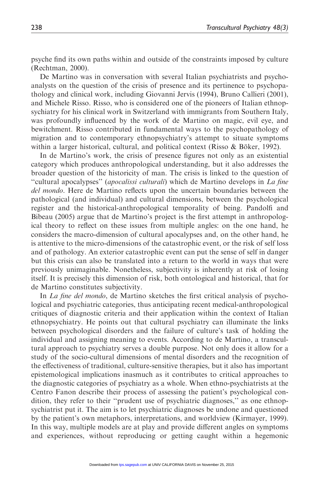psyche find its own paths within and outside of the constraints imposed by culture (Rechtman, 2000).

De Martino was in conversation with several Italian psychiatrists and psychoanalysts on the question of the crisis of presence and its pertinence to psychopathology and clinical work, including Giovanni Jervis (1994), Bruno Callieri (2001), and Michele Risso. Risso, who is considered one of the pioneers of Italian ethnopsychiatry for his clinical work in Switzerland with immigrants from Southern Italy, was profoundly influenced by the work of de Martino on magic, evil eye, and bewitchment. Risso contributed in fundamental ways to the psychopathology of migration and to contemporary ethnopsychiatry's attempt to situate symptoms within a larger historical, cultural, and political context (Risso  $\&$  Böker, 1992).

In de Martino's work, the crisis of presence figures not only as an existential category which produces anthropological understanding, but it also addresses the broader question of the historicity of man. The crisis is linked to the question of ''cultural apocalypses'' (apocalissi culturali) which de Martino develops in La fine del mondo. Here de Martino reflects upon the uncertain boundaries between the pathological (and individual) and cultural dimensions, between the psychological register and the historical-anthropological temporality of being. Pandolfi and Bibeau (2005) argue that de Martino's project is the first attempt in anthropological theory to reflect on these issues from multiple angles: on the one hand, he considers the macro-dimension of cultural apocalypses and, on the other hand, he is attentive to the micro-dimensions of the catastrophic event, or the risk of self loss and of pathology. An exterior catastrophic event can put the sense of self in danger but this crisis can also be translated into a return to the world in ways that were previously unimaginable. Nonetheless, subjectivity is inherently at risk of losing itself. It is precisely this dimension of risk, both ontological and historical, that for de Martino constitutes subjectivity.

In La fine del mondo, de Martino sketches the first critical analysis of psychological and psychiatric categories, thus anticipating recent medical-anthropological critiques of diagnostic criteria and their application within the context of Italian ethnopsychiatry. He points out that cultural psychiatry can illuminate the links between psychological disorders and the failure of culture's task of holding the individual and assigning meaning to events. According to de Martino, a transcultural approach to psychiatry serves a double purpose. Not only does it allow for a study of the socio-cultural dimensions of mental disorders and the recognition of the effectiveness of traditional, culture-sensitive therapies, but it also has important epistemological implications inasmuch as it contributes to critical approaches to the diagnostic categories of psychiatry as a whole. When ethno-psychiatrists at the Centro Fanon describe their process of assessing the patient's psychological condition, they refer to their ''prudent use of psychiatric diagnoses,'' as one ethnopsychiatrist put it. The aim is to let psychiatric diagnoses be undone and questioned by the patient's own metaphors, interpretations, and worldview (Kirmayer, 1999). In this way, multiple models are at play and provide different angles on symptoms and experiences, without reproducing or getting caught within a hegemonic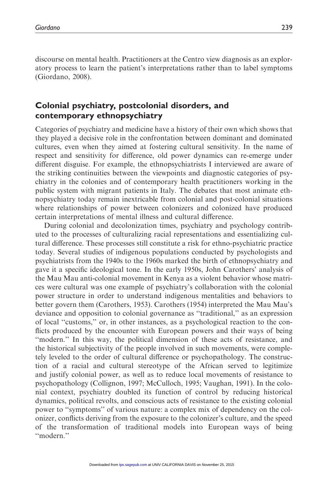discourse on mental health. Practitioners at the Centro view diagnosis as an exploratory process to learn the patient's interpretations rather than to label symptoms (Giordano, 2008).

# Colonial psychiatry, postcolonial disorders, and contemporary ethnopsychiatry

Categories of psychiatry and medicine have a history of their own which shows that they played a decisive role in the confrontation between dominant and dominated cultures, even when they aimed at fostering cultural sensitivity. In the name of respect and sensitivity for difference, old power dynamics can re-emerge under different disguise. For example, the ethnopsychiatrists I interviewed are aware of the striking continuities between the viewpoints and diagnostic categories of psychiatry in the colonies and of contemporary health practitioners working in the public system with migrant patients in Italy. The debates that most animate ethnopsychiatry today remain inextricable from colonial and post-colonial situations where relationships of power between colonizers and colonized have produced certain interpretations of mental illness and cultural difference.

During colonial and decolonization times, psychiatry and psychology contributed to the processes of culturalizing racial representations and essentializing cultural difference. These processes still constitute a risk for ethno-psychiatric practice today. Several studies of indigenous populations conducted by psychologists and psychiatrists from the 1940s to the 1960s marked the birth of ethnopsychiatry and gave it a specific ideological tone. In the early 1950s, John Carothers' analysis of the Mau Mau anti-colonial movement in Kenya as a violent behavior whose matrices were cultural was one example of psychiatry's collaboration with the colonial power structure in order to understand indigenous mentalities and behaviors to better govern them (Carothers, 1953). Carothers (1954) interpreted the Mau Mau's deviance and opposition to colonial governance as ''traditional,'' as an expression of local ''customs,'' or, in other instances, as a psychological reaction to the conflicts produced by the encounter with European powers and their ways of being ''modern.'' In this way, the political dimension of these acts of resistance, and the historical subjectivity of the people involved in such movements, were completely leveled to the order of cultural difference or psychopathology. The construction of a racial and cultural stereotype of the African served to legitimize and justify colonial power, as well as to reduce local movements of resistance to psychopathology (Collignon, 1997; McCulloch, 1995; Vaughan, 1991). In the colonial context, psychiatry doubled its function of control by reducing historical dynamics, political revolts, and conscious acts of resistance to the existing colonial power to ''symptoms'' of various nature: a complex mix of dependency on the colonizer, conflicts deriving from the exposure to the colonizer's culture, and the speed of the transformation of traditional models into European ways of being ''modern.''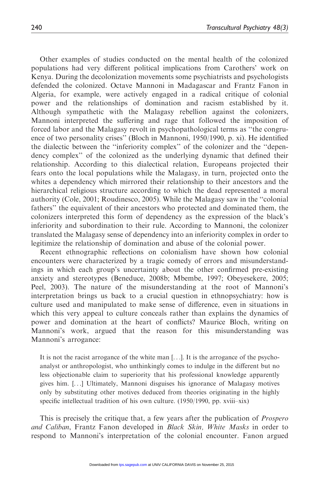Other examples of studies conducted on the mental health of the colonized populations had very different political implications from Carothers' work on Kenya. During the decolonization movements some psychiatrists and psychologists defended the colonized. Octave Mannoni in Madagascar and Frantz Fanon in Algeria, for example, were actively engaged in a radical critique of colonial power and the relationships of domination and racism established by it. Although sympathetic with the Malagasy rebellion against the colonizers, Mannoni interpreted the suffering and rage that followed the imposition of forced labor and the Malagasy revolt in psychopathological terms as ''the congruence of two personality crises'' (Bloch in Mannoni, 1950/1990, p. xi). He identified the dialectic between the ''inferiority complex'' of the colonizer and the ''dependency complex'' of the colonized as the underlying dynamic that defined their relationship. According to this dialectical relation, Europeans projected their fears onto the local populations while the Malagasy, in turn, projected onto the whites a dependency which mirrored their relationship to their ancestors and the hierarchical religious structure according to which the dead represented a moral authority (Cole, 2001; Roudinesco, 2005). While the Malagasy saw in the ''colonial fathers'' the equivalent of their ancestors who protected and dominated them, the colonizers interpreted this form of dependency as the expression of the black's inferiority and subordination to their rule. According to Mannoni, the colonizer translated the Malagasy sense of dependency into an inferiority complex in order to legitimize the relationship of domination and abuse of the colonial power.

Recent ethnographic reflections on colonialism have shown how colonial encounters were characterized by a tragic comedy of errors and misunderstandings in which each group's uncertainty about the other confirmed pre-existing anxiety and stereotypes (Beneduce, 2008b; Mbembe, 1997; Obeyesekere, 2005; Peel, 2003). The nature of the misunderstanding at the root of Mannoni's interpretation brings us back to a crucial question in ethnopsychiatry: how is culture used and manipulated to make sense of difference, even in situations in which this very appeal to culture conceals rather than explains the dynamics of power and domination at the heart of conflicts? Maurice Bloch, writing on Mannoni's work, argued that the reason for this misunderstanding was Mannoni's arrogance:

It is not the racist arrogance of the white man [...]. It is the arrogance of the psychoanalyst or anthropologist, who unthinkingly comes to indulge in the different but no less objectionable claim to superiority that his professional knowledge apparently gives him. [...] Ultimately, Mannoni disguises his ignorance of Malagasy motives only by substituting other motives deduced from theories originating in the highly specific intellectual tradition of his own culture. (1950/1990, pp. xviii–xix)

This is precisely the critique that, a few years after the publication of Prospero and Caliban, Frantz Fanon developed in Black Skin, White Masks in order to respond to Mannoni's interpretation of the colonial encounter. Fanon argued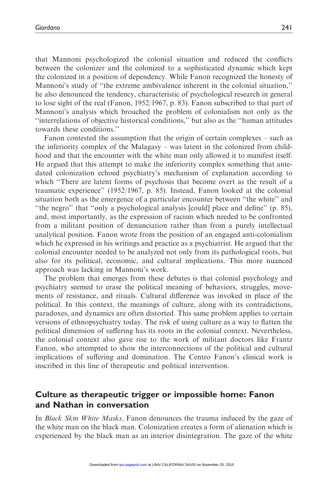that Mannoni psychologized the colonial situation and reduced the conflicts between the colonizer and the colonized to a sophisticated dynamic which kept the colonized in a position of dependency. While Fanon recognized the honesty of Mannoni's study of ''the extreme ambivalence inherent in the colonial situation,'' he also denounced the tendency, characteristic of psychological research in general to lose sight of the real (Fanon, 1952/1967, p. 83). Fanon subscribed to that part of Mannoni's analysis which broached the problem of colonialism not only as the ''interrelations of objective historical conditions,'' but also as the ''human attitudes towards these conditions.''

Fanon contested the assumption that the origin of certain complexes – such as the inferiority complex of the Malagasy – was latent in the colonized from childhood and that the encounter with the white man only allowed it to manifest itself. He argued that this attempt to make the inferiority complex something that antedated colonization echoed psychiatry's mechanism of explanation according to which "There are latent forms of psychosis that become overt as the result of a traumatic experience'' (1952/1967, p. 85). Instead, Fanon looked at the colonial situation both as the emergence of a particular encounter between ''the white'' and ''the negro'' that ''only a psychological analysis [could] place and define'' (p. 85), and, most importantly, as the expression of racism which needed to be confronted from a militant position of denunciation rather than from a purely intellectual analytical position. Fanon wrote from the position of an engaged anti-colonialism which he expressed in his writings and practice as a psychiatrist. He argued that the colonial encounter needed to be analyzed not only from its pathological roots, but also for its political, economic, and cultural implications. This more nuanced approach was lacking in Mannoni's work.

The problem that emerges from these debates is that colonial psychology and psychiatry seemed to erase the political meaning of behaviors, struggles, movements of resistance, and rituals. Cultural difference was invoked in place of the political. In this context, the meanings of culture, along with its contradictions, paradoxes, and dynamics are often distorted. This same problem applies to certain versions of ethnopsychiatry today. The risk of using culture as a way to flatten the political dimension of suffering has its roots in the colonial context. Nevertheless, the colonial context also gave rise to the work of militant doctors like Frantz Fanon, who attempted to show the interconnections of the political and cultural implications of suffering and domination. The Centro Fanon's clinical work is inscribed in this line of therapeutic and political intervention.

## Culture as therapeutic trigger or impossible home: Fanon and Nathan in conversation

In *Black Skin White Masks*, Fanon denounces the trauma induced by the gaze of the white man on the black man. Colonization creates a form of alienation which is experienced by the black man as an interior disintegration. The gaze of the white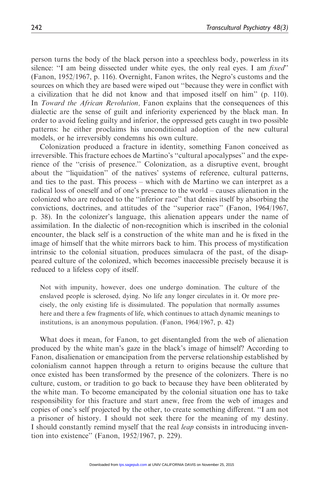person turns the body of the black person into a speechless body, powerless in its silence: "I am being dissected under white eyes, the only real eyes. I am *fixed*" (Fanon, 1952/1967, p. 116). Overnight, Fanon writes, the Negro's customs and the sources on which they are based were wiped out ''because they were in conflict with a civilization that he did not know and that imposed itself on him'' (p. 110). In *Toward the African Revolution*, Fanon explains that the consequences of this dialectic are the sense of guilt and inferiority experienced by the black man. In order to avoid feeling guilty and inferior, the oppressed gets caught in two possible patterns: he either proclaims his unconditional adoption of the new cultural models, or he irreversibly condemns his own culture.

Colonization produced a fracture in identity, something Fanon conceived as irreversible. This fracture echoes de Martino's ''cultural apocalypses'' and the experience of the ''crisis of presence.'' Colonization, as a disruptive event, brought about the ''liquidation'' of the natives' systems of reference, cultural patterns, and ties to the past. This process – which with de Martino we can interpret as a radical loss of oneself and of one's presence to the world – causes alienation in the colonized who are reduced to the ''inferior race'' that denies itself by absorbing the convictions, doctrines, and attitudes of the ''superior race'' (Fanon, 1964/1967, p. 38). In the colonizer's language, this alienation appears under the name of assimilation. In the dialectic of non-recognition which is inscribed in the colonial encounter, the black self is a construction of the white man and he is fixed in the image of himself that the white mirrors back to him. This process of mystification intrinsic to the colonial situation, produces simulacra of the past, of the disappeared culture of the colonized, which becomes inaccessible precisely because it is reduced to a lifeless copy of itself.

Not with impunity, however, does one undergo domination. The culture of the enslaved people is sclerosed, dying. No life any longer circulates in it. Or more precisely, the only existing life is dissimulated. The population that normally assumes here and there a few fragments of life, which continues to attach dynamic meanings to institutions, is an anonymous population. (Fanon, 1964/1967, p. 42)

What does it mean, for Fanon, to get disentangled from the web of alienation produced by the white man's gaze in the black's image of himself? According to Fanon, disalienation or emancipation from the perverse relationship established by colonialism cannot happen through a return to origins because the culture that once existed has been transformed by the presence of the colonizers. There is no culture, custom, or tradition to go back to because they have been obliterated by the white man. To become emancipated by the colonial situation one has to take responsibility for this fracture and start anew, free from the web of images and copies of one's self projected by the other, to create something different. ''I am not a prisoner of history. I should not seek there for the meaning of my destiny. I should constantly remind myself that the real leap consists in introducing invention into existence'' (Fanon, 1952/1967, p. 229).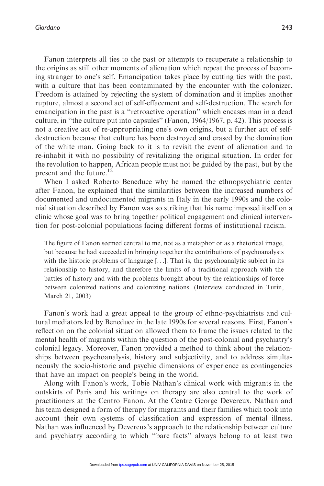Fanon interprets all ties to the past or attempts to recuperate a relationship to the origins as still other moments of alienation which repeat the process of becoming stranger to one's self. Emancipation takes place by cutting ties with the past, with a culture that has been contaminated by the encounter with the colonizer. Freedom is attained by rejecting the system of domination and it implies another rupture, almost a second act of self-effacement and self-destruction. The search for emancipation in the past is a ''retroactive operation'' which encases man in a dead culture, in ''the culture put into capsules'' (Fanon, 1964/1967, p. 42). This process is not a creative act of re-appropriating one's own origins, but a further act of selfdestruction because that culture has been destroyed and erased by the domination of the white man. Going back to it is to revisit the event of alienation and to re-inhabit it with no possibility of revitalizing the original situation. In order for the revolution to happen, African people must not be guided by the past, but by the present and the future.<sup>12</sup>

When I asked Roberto Beneduce why he named the ethnopsychiatric center after Fanon, he explained that the similarities between the increased numbers of documented and undocumented migrants in Italy in the early 1990s and the colonial situation described by Fanon was so striking that his name imposed itself on a clinic whose goal was to bring together political engagement and clinical intervention for post-colonial populations facing different forms of institutional racism.

The figure of Fanon seemed central to me, not as a metaphor or as a rhetorical image, but because he had succeeded in bringing together the contributions of psychoanalysts with the historic problems of language [...]. That is, the psychoanalytic subject in its relationship to history, and therefore the limits of a traditional approach with the battles of history and with the problems brought about by the relationships of force between colonized nations and colonizing nations. (Interview conducted in Turin, March 21, 2003)

Fanon's work had a great appeal to the group of ethno-psychiatrists and cultural mediators led by Beneduce in the late 1990s for several reasons. First, Fanon's reflection on the colonial situation allowed them to frame the issues related to the mental health of migrants within the question of the post-colonial and psychiatry's colonial legacy. Moreover, Fanon provided a method to think about the relationships between psychoanalysis, history and subjectivity, and to address simultaneously the socio-historic and psychic dimensions of experience as contingencies that have an impact on people's being in the world.

Along with Fanon's work, Tobie Nathan's clinical work with migrants in the outskirts of Paris and his writings on therapy are also central to the work of practitioners at the Centro Fanon. At the Centre George Devereux, Nathan and his team designed a form of therapy for migrants and their families which took into account their own systems of classification and expression of mental illness. Nathan was influenced by Devereux's approach to the relationship between culture and psychiatry according to which ''bare facts'' always belong to at least two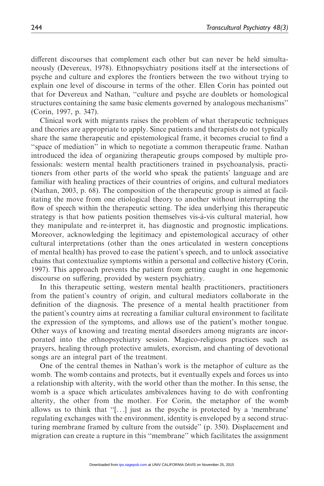different discourses that complement each other but can never be held simultaneously (Devereux, 1978). Ethnopsychiatry positions itself at the intersections of psyche and culture and explores the frontiers between the two without trying to explain one level of discourse in terms of the other. Ellen Corin has pointed out that for Devereux and Nathan, ''culture and psyche are doublets or homological structures containing the same basic elements governed by analogous mechanisms'' (Corin, 1997, p. 347).

Clinical work with migrants raises the problem of what therapeutic techniques and theories are appropriate to apply. Since patients and therapists do not typically share the same therapeutic and epistemological frame, it becomes crucial to find a ''space of mediation'' in which to negotiate a common therapeutic frame. Nathan introduced the idea of organizing therapeutic groups composed by multiple professionals: western mental health practitioners trained in psychoanalysis, practitioners from other parts of the world who speak the patients' language and are familiar with healing practices of their countries of origins, and cultural mediators (Nathan, 2003, p. 68). The composition of the therapeutic group is aimed at facilitating the move from one etiological theory to another without interrupting the flow of speech within the therapeutic setting. The idea underlying this therapeutic strategy is that how patients position themselves vis-à-vis cultural material, how they manipulate and re-interpret it, has diagnostic and prognostic implications. Moreover, acknowledging the legitimacy and epistemological accuracy of other cultural interpretations (other than the ones articulated in western conceptions of mental health) has proved to ease the patient's speech, and to unlock associative chains that contextualize symptoms within a personal and collective history (Corin, 1997). This approach prevents the patient from getting caught in one hegemonic discourse on suffering, provided by western psychiatry.

In this therapeutic setting, western mental health practitioners, practitioners from the patient's country of origin, and cultural mediators collaborate in the definition of the diagnosis. The presence of a mental health practitioner from the patient's country aims at recreating a familiar cultural environment to facilitate the expression of the symptoms, and allows use of the patient's mother tongue. Other ways of knowing and treating mental disorders among migrants are incorporated into the ethnopsychiatry session. Magico-religious practices such as prayers, healing through protective amulets, exorcism, and chanting of devotional songs are an integral part of the treatment.

One of the central themes in Nathan's work is the metaphor of culture as the womb. The womb contains and protects, but it eventually expels and forces us into a relationship with alterity, with the world other than the mother. In this sense, the womb is a space which articulates ambivalences having to do with confronting alterity, the other from the mother. For Corin, the metaphor of the womb allows us to think that ''[...] just as the psyche is protected by a 'membrane' regulating exchanges with the environment, identity is enveloped by a second structuring membrane framed by culture from the outside'' (p. 350). Displacement and migration can create a rupture in this ''membrane'' which facilitates the assignment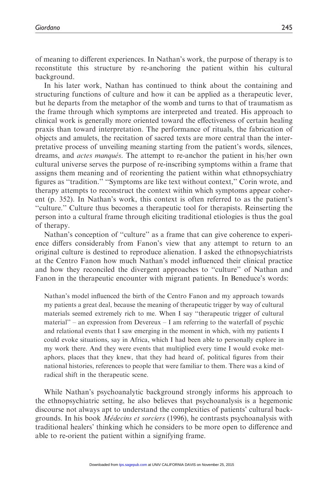of meaning to different experiences. In Nathan's work, the purpose of therapy is to reconstitute this structure by re-anchoring the patient within his cultural background.

In his later work, Nathan has continued to think about the containing and structuring functions of culture and how it can be applied as a therapeutic lever, but he departs from the metaphor of the womb and turns to that of traumatism as the frame through which symptoms are interpreted and treated. His approach to clinical work is generally more oriented toward the effectiveness of certain healing praxis than toward interpretation. The performance of rituals, the fabrication of objects and amulets, the recitation of sacred texts are more central than the interpretative process of unveiling meaning starting from the patient's words, silences, dreams, and *actes manqués*. The attempt to re-anchor the patient in his/her own cultural universe serves the purpose of re-inscribing symptoms within a frame that assigns them meaning and of reorienting the patient within what ethnopsychiatry figures as ''tradition.'' ''Symptoms are like text without context,'' Corin wrote, and therapy attempts to reconstruct the context within which symptoms appear coherent (p. 352). In Nathan's work, this context is often referred to as the patient's ''culture.'' Culture thus becomes a therapeutic tool for therapists. Reinserting the person into a cultural frame through eliciting traditional etiologies is thus the goal of therapy.

Nathan's conception of ''culture'' as a frame that can give coherence to experience differs considerably from Fanon's view that any attempt to return to an original culture is destined to reproduce alienation. I asked the ethnopsychiatrists at the Centro Fanon how much Nathan's model influenced their clinical practice and how they reconciled the divergent approaches to ''culture'' of Nathan and Fanon in the therapeutic encounter with migrant patients. In Beneduce's words:

Nathan's model influenced the birth of the Centro Fanon and my approach towards my patients a great deal, because the meaning of therapeutic trigger by way of cultural materials seemed extremely rich to me. When I say ''therapeutic trigger of cultural material'' – an expression from Devereux – I am referring to the waterfall of psychic and relational events that I saw emerging in the moment in which, with my patients I could evoke situations, say in Africa, which I had been able to personally explore in my work there. And they were events that multiplied every time I would evoke metaphors, places that they knew, that they had heard of, political figures from their national histories, references to people that were familiar to them. There was a kind of radical shift in the therapeutic scene.

While Nathan's psychoanalytic background strongly informs his approach to the ethnopsychiatric setting, he also believes that psychoanalysis is a hegemonic discourse not always apt to understand the complexities of patients' cultural backgrounds. In his book *Médecins et sorciers* (1996), he contrasts psychoanalysis with traditional healers' thinking which he considers to be more open to difference and able to re-orient the patient within a signifying frame.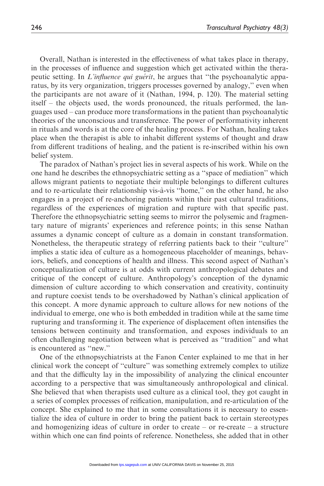Overall, Nathan is interested in the effectiveness of what takes place in therapy, in the processes of influence and suggestion which get activated within the therapeutic setting. In *L'influence qui guérit*, he argues that "the psychoanalytic apparatus, by its very organization, triggers processes governed by analogy,'' even when the participants are not aware of it (Nathan, 1994, p. 120). The material setting itself – the objects used, the words pronounced, the rituals performed, the languages used – can produce more transformations in the patient than psychoanalytic theories of the unconscious and transference. The power of performativity inherent in rituals and words is at the core of the healing process. For Nathan, healing takes place when the therapist is able to inhabit different systems of thought and draw from different traditions of healing, and the patient is re-inscribed within his own belief system.

The paradox of Nathan's project lies in several aspects of his work. While on the one hand he describes the ethnopsychiatric setting as a ''space of mediation'' which allows migrant patients to negotiate their multiple belongings to different cultures and to re-articulate their relationship vis-a`-vis ''home,'' on the other hand, he also engages in a project of re-anchoring patients within their past cultural traditions, regardless of the experiences of migration and rupture with that specific past. Therefore the ethnopsychiatric setting seems to mirror the polysemic and fragmentary nature of migrants' experiences and reference points; in this sense Nathan assumes a dynamic concept of culture as a domain in constant transformation. Nonetheless, the therapeutic strategy of referring patients back to their ''culture'' implies a static idea of culture as a homogeneous placeholder of meanings, behaviors, beliefs, and conceptions of health and illness. This second aspect of Nathan's conceptualization of culture is at odds with current anthropological debates and critique of the concept of culture. Anthropology's conception of the dynamic dimension of culture according to which conservation and creativity, continuity and rupture coexist tends to be overshadowed by Nathan's clinical application of this concept. A more dynamic approach to culture allows for new notions of the individual to emerge, one who is both embedded in tradition while at the same time rupturing and transforming it. The experience of displacement often intensifies the tensions between continuity and transformation, and exposes individuals to an often challenging negotiation between what is perceived as ''tradition'' and what is encountered as ''new.''

One of the ethnopsychiatrists at the Fanon Center explained to me that in her clinical work the concept of ''culture'' was something extremely complex to utilize and that the difficulty lay in the impossibility of analyzing the clinical encounter according to a perspective that was simultaneously anthropological and clinical. She believed that when therapists used culture as a clinical tool, they got caught in a series of complex processes of reification, manipulation, and re-articulation of the concept. She explained to me that in some consultations it is necessary to essentialize the idea of culture in order to bring the patient back to certain stereotypes and homogenizing ideas of culture in order to create – or re-create – a structure within which one can find points of reference. Nonetheless, she added that in other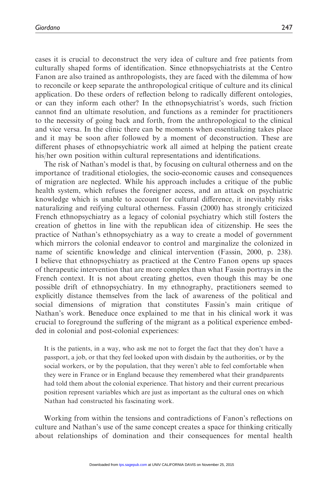cases it is crucial to deconstruct the very idea of culture and free patients from culturally shaped forms of identification. Since ethnopsychiatrists at the Centro Fanon are also trained as anthropologists, they are faced with the dilemma of how to reconcile or keep separate the anthropological critique of culture and its clinical application. Do these orders of reflection belong to radically different ontologies, or can they inform each other? In the ethnopsychiatrist's words, such friction cannot find an ultimate resolution, and functions as a reminder for practitioners to the necessity of going back and forth, from the anthropological to the clinical and vice versa. In the clinic there can be moments when essentializing takes place and it may be soon after followed by a moment of deconstruction. These are different phases of ethnopsychiatric work all aimed at helping the patient create his/her own position within cultural representations and identifications.

The risk of Nathan's model is that, by focusing on cultural otherness and on the importance of traditional etiologies, the socio-economic causes and consequences of migration are neglected. While his approach includes a critique of the public health system, which refuses the foreigner access, and an attack on psychiatric knowledge which is unable to account for cultural difference, it inevitably risks naturalizing and reifying cultural otherness. Fassin (2000) has strongly criticized French ethnopsychiatry as a legacy of colonial psychiatry which still fosters the creation of ghettos in line with the republican idea of citizenship. He sees the practice of Nathan's ethnopsychiatry as a way to create a model of government which mirrors the colonial endeavor to control and marginalize the colonized in name of scientific knowledge and clinical intervention (Fassin, 2000, p. 238). I believe that ethnopsychiatry as practiced at the Centro Fanon opens up spaces of therapeutic intervention that are more complex than what Fassin portrays in the French context. It is not about creating ghettos, even though this may be one possible drift of ethnopsychiatry. In my ethnography, practitioners seemed to explicitly distance themselves from the lack of awareness of the political and social dimensions of migration that constitutes Fassin's main critique of Nathan's work. Beneduce once explained to me that in his clinical work it was crucial to foreground the suffering of the migrant as a political experience embedded in colonial and post-colonial experiences:

It is the patients, in a way, who ask me not to forget the fact that they don't have a passport, a job, or that they feel looked upon with disdain by the authorities, or by the social workers, or by the population, that they weren't able to feel comfortable when they were in France or in England because they remembered what their grandparents had told them about the colonial experience. That history and their current precarious position represent variables which are just as important as the cultural ones on which Nathan had constructed his fascinating work.

Working from within the tensions and contradictions of Fanon's reflections on culture and Nathan's use of the same concept creates a space for thinking critically about relationships of domination and their consequences for mental health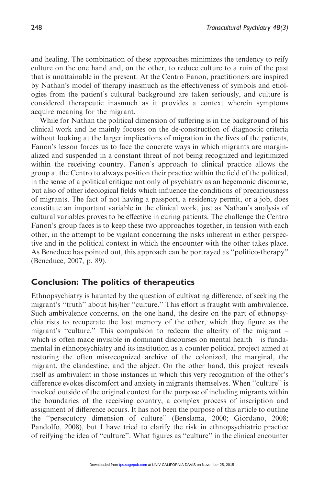and healing. The combination of these approaches minimizes the tendency to reify culture on the one hand and, on the other, to reduce culture to a ruin of the past that is unattainable in the present. At the Centro Fanon, practitioners are inspired by Nathan's model of therapy inasmuch as the effectiveness of symbols and etiologies from the patient's cultural background are taken seriously, and culture is considered therapeutic inasmuch as it provides a context wherein symptoms acquire meaning for the migrant.

While for Nathan the political dimension of suffering is in the background of his clinical work and he mainly focuses on the de-construction of diagnostic criteria without looking at the larger implications of migration in the lives of the patients, Fanon's lesson forces us to face the concrete ways in which migrants are marginalized and suspended in a constant threat of not being recognized and legitimized within the receiving country. Fanon's approach to clinical practice allows the group at the Centro to always position their practice within the field of the political, in the sense of a political critique not only of psychiatry as an hegemonic discourse, but also of other ideological fields which influence the conditions of precariousness of migrants. The fact of not having a passport, a residency permit, or a job, does constitute an important variable in the clinical work, just as Nathan's analysis of cultural variables proves to be effective in curing patients. The challenge the Centro Fanon's group faces is to keep these two approaches together, in tension with each other, in the attempt to be vigilant concerning the risks inherent in either perspective and in the political context in which the encounter with the other takes place. As Beneduce has pointed out, this approach can be portrayed as ''politico-therapy'' (Beneduce, 2007, p. 89).

## Conclusion: The politics of therapeutics

Ethnopsychiatry is haunted by the question of cultivating difference, of seeking the migrant's ''truth'' about his/her ''culture.'' This effort is fraught with ambivalence. Such ambivalence concerns, on the one hand, the desire on the part of ethnopsychiatrists to recuperate the lost memory of the other, which they figure as the migrant's ''culture.'' This compulsion to redeem the alterity of the migrant – which is often made invisible in dominant discourses on mental health – is fundamental in ethnopsychiatry and its institution as a counter political project aimed at restoring the often misrecognized archive of the colonized, the marginal, the migrant, the clandestine, and the abject. On the other hand, this project reveals itself as ambivalent in those instances in which this very recognition of the other's difference evokes discomfort and anxiety in migrants themselves. When ''culture'' is invoked outside of the original context for the purpose of including migrants within the boundaries of the receiving country, a complex process of inscription and assignment of difference occurs. It has not been the purpose of this article to outline the ''persecutory dimension of culture'' (Benslama, 2000; Giordano, 2008; Pandolfo, 2008), but I have tried to clarify the risk in ethnopsychiatric practice of reifying the idea of ''culture''. What figures as ''culture'' in the clinical encounter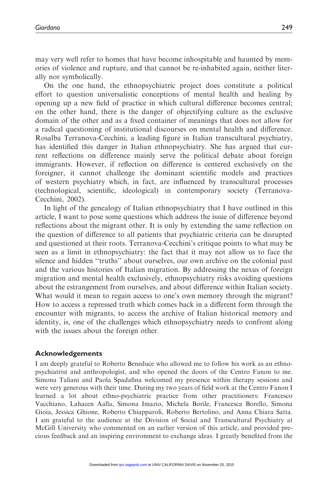may very well refer to homes that have become inhospitable and haunted by memories of violence and rupture, and that cannot be re-inhabited again, neither literally nor symbolically.

On the one hand, the ethnopsychiatric project does constitute a political effort to question universalistic conceptions of mental health and healing by opening up a new field of practice in which cultural difference becomes central; on the other hand, there is the danger of objectifying culture as the exclusive domain of the other and as a fixed container of meanings that does not allow for a radical questioning of institutional discourses on mental health and difference. Rosalba Terranova-Cecchini, a leading figure in Italian transcultural psychiatry, has identified this danger in Italian ethnopsychiatry. She has argued that current reflections on difference mainly serve the political debate about foreign immigrants. However, if reflection on difference is centered exclusively on the foreigner, it cannot challenge the dominant scientific models and practices of western psychiatry which, in fact, are influenced by transcultural processes (technological, scientific, ideological) in contemporary society (Terranova-Cecchini, 2002).

In light of the genealogy of Italian ethnopsychiatry that I have outlined in this article, I want to pose some questions which address the issue of difference beyond reflections about the migrant other. It is only by extending the same reflection on the question of difference to all patients that psychiatric criteria can be disrupted and questioned at their roots. Terranova-Cecchini's critique points to what may be seen as a limit in ethnopsychiatry: the fact that it may not allow us to face the silence and hidden ''truths'' about ourselves, our own archive on the colonial past and the various histories of Italian migration. By addressing the nexus of foreign migration and mental health exclusively, ethnopsychiatry risks avoiding questions about the estrangement from ourselves, and about difference within Italian society. What would it mean to regain access to one's own memory through the migrant? How to access a repressed truth which comes back in a different form through the encounter with migrants, to access the archive of Italian historical memory and identity, is, one of the challenges which ethnopsychiatry needs to confront along with the issues about the foreign other.

#### Acknowledgements

I am deeply grateful to Roberto Beneduce who allowed me to follow his work as an ethnopsychiatrist and anthropologist, and who opened the doors of the Centro Fanon to me. Simona Taliani and Paola Spadafina welcomed my presence within therapy sessions and were very generous with their time. During my two years of field work at the Centro Fanon I learned a lot about ethno-psychiatric practice from other practitioners: Francesco Vacchiano, Lahacen Aalla, Simona Imazio, Michela Borile, Francesca Borello, Simona Gioia, Jessica Ghione, Roberto Chiapparoli, Roberto Bertolino, and Anna Chiara Satta. I am grateful to the audience at the Division of Social and Transcultural Psychiatry at McGill University who commented on an earlier version of this article, and provided precious feedback and an inspiring environment to exchange ideas. I greatly benefited from the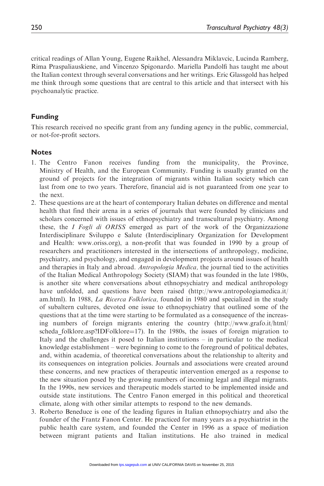critical readings of Allan Young, Eugene Raikhel, Alessandra Miklavcic, Lucinda Ramberg, Rima Praspaliauskiene, and Vincenzo Spigonardo. Mariella Pandolfi has taught me about the Italian context through several conversations and her writings. Eric Glassgold has helped me think through some questions that are central to this article and that intersect with his psychoanalytic practice.

#### Funding

This research received no specific grant from any funding agency in the public, commercial, or not-for-profit sectors.

#### **Notes**

- 1. The Centro Fanon receives funding from the municipality, the Province, Ministry of Health, and the European Community. Funding is usually granted on the ground of projects for the integration of migrants within Italian society which can last from one to two years. Therefore, financial aid is not guaranteed from one year to the next.
- 2. These questions are at the heart of contemporary Italian debates on difference and mental health that find their arena in a series of journals that were founded by clinicians and scholars concerned with issues of ethnopsychiatry and transcultural psychiatry. Among these, the I Fogli di ORISS emerged as part of the work of the Organizzazione Interdisciplinare Sviluppo e Salute (Interdisciplinary Organization for Development and Health: www.oriss.org), a non-profit that was founded in 1990 by a group of researchers and practitioners interested in the intersections of anthropology, medicine, psychiatry, and psychology, and engaged in development projects around issues of health and therapies in Italy and abroad. Antropologia Medica, the journal tied to the activities of the Italian Medical Anthropology Society (SIAM) that was founded in the late 1980s, is another site where conversations about ethnopsychiatry and medical anthropology have unfolded, and questions have been raised (http://www.antropologiamedica.it/ am.html). In 1988, La Ricerca Folklorica, founded in 1980 and specialized in the study of subaltern cultures, devoted one issue to ethnopsychiatry that outlined some of the questions that at the time were starting to be formulated as a consequence of the increasing numbers of foreign migrants entering the country (http://www.grafo.it/html/ scheda folklore.asp?IDFolklore $=$ 17). In the 1980s, the issues of foreign migration to Italy and the challenges it posed to Italian institutions – in particular to the medical knowledge establishment – were beginning to come to the foreground of political debates, and, within academia, of theoretical conversations about the relationship to alterity and its consequences on integration policies. Journals and associations were created around these concerns, and new practices of therapeutic intervention emerged as a response to the new situation posed by the growing numbers of incoming legal and illegal migrants. In the 1990s, new services and therapeutic models started to be implemented inside and outside state institutions. The Centro Fanon emerged in this political and theoretical climate, along with other similar attempts to respond to the new demands.
- 3. Roberto Beneduce is one of the leading figures in Italian ethnopsychiatry and also the founder of the Frantz Fanon Center. He practiced for many years as a psychiatrist in the public health care system, and founded the Center in 1996 as a space of mediation between migrant patients and Italian institutions. He also trained in medical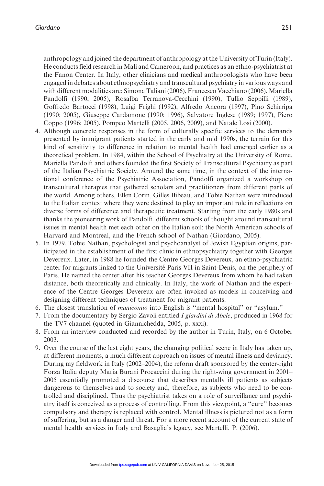anthropology and joined the department of anthropology at the University of Turin (Italy). He conducts field research in Mali and Cameroon, and practices as an ethno-psychiatrist at the Fanon Center. In Italy, other clinicians and medical anthropologists who have been engaged in debates about ethnopsychiatry and transcultural psychiatry in various ways and with different modalities are: Simona Taliani (2006), Francesco Vacchiano (2006), Mariella Pandolfi (1990; 2005), Rosalba Terranova-Cecchini (1990), Tullio Seppilli (1989), Goffredo Bartocci (1998), Luigi Frighi (1992), Alfredo Ancora (1997), Pino Schirripa (1990; 2005), Giuseppe Cardamone (1990; 1996), Salvatore Inglese (1989; 1997), Piero Coppo (1996; 2005), Pompeo Martelli (2005, 2006, 2009), and Natale Losi (2000).

- 4. Although concrete responses in the form of culturally specific services to the demands presented by immigrant patients started in the early and mid 1990s, the terrain for this kind of sensitivity to difference in relation to mental health had emerged earlier as a theoretical problem. In 1984, within the School of Psychiatry at the University of Rome, Mariella Pandolfi and others founded the first Society of Transcultural Psychiatry as part of the Italian Psychiatric Society. Around the same time, in the context of the international conference of the Psychiatric Association, Pandolfi organized a workshop on transcultural therapies that gathered scholars and practitioners from different parts of the world. Among others, Ellen Corin, Gilles Bibeau, and Tobie Nathan were introduced to the Italian context where they were destined to play an important role in reflections on diverse forms of difference and therapeutic treatment. Starting from the early 1980s and thanks the pioneering work of Pandolfi, different schools of thought around transcultural issues in mental health met each other on the Italian soil: the North American schools of Harvard and Montreal, and the French school of Nathan (Giordano, 2005).
- 5. In 1979, Tobie Nathan, psychologist and psychoanalyst of Jewish Egyptian origins, participated in the establishment of the first clinic in ethnopsychiatry together with Georges Devereux. Later, in 1988 he founded the Centre Georges Devereux, an ethno-psychiatric center for migrants linked to the Université Paris VII in Saint-Denis, on the periphery of Paris. He named the center after his teacher Georges Devereux from whom he had taken distance, both theoretically and clinically. In Italy, the work of Nathan and the experience of the Centre Georges Devereux are often invoked as models in conceiving and designing different techniques of treatment for migrant patients.
- 6. The closest translation of manicomio into English is ''mental hospital'' or ''asylum.''
- 7. From the documentary by Sergio Zavoli entitled I giardini di Abele, produced in 1968 for the TV7 channel (quoted in Giannichedda, 2005, p. xxxi).
- 8. From an interview conducted and recorded by the author in Turin, Italy, on 6 October 2003.
- 9. Over the course of the last eight years, the changing political scene in Italy has taken up, at different moments, a much different approach on issues of mental illness and deviancy. During my fieldwork in Italy (2002–2004), the reform draft sponsored by the center-right Forza Italia deputy Maria Burani Procaccini during the right-wing government in 2001– 2005 essentially promoted a discourse that describes mentally ill patients as subjects dangerous to themselves and to society and, therefore, as subjects who need to be controlled and disciplined. Thus the psychiatrist takes on a role of surveillance and psychiatry itself is conceived as a process of controlling. From this viewpoint, a ''cure'' becomes compulsory and therapy is replaced with control. Mental illness is pictured not as a form of suffering, but as a danger and threat. For a more recent account of the current state of mental health services in Italy and Basaglia's legacy, see Martelli, P. (2006).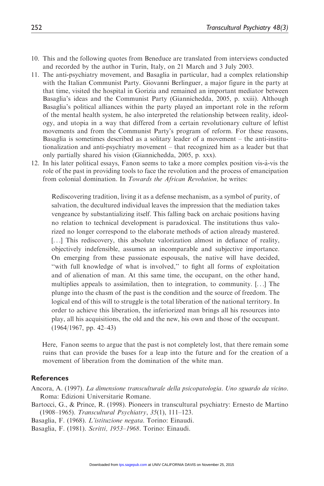- 10. This and the following quotes from Beneduce are translated from interviews conducted and recorded by the author in Turin, Italy, on 21 March and 3 July 2003.
- 11. The anti-psychiatry movement, and Basaglia in particular, had a complex relationship with the Italian Communist Party. Giovanni Berlinguer, a major figure in the party at that time, visited the hospital in Gorizia and remained an important mediator between Basaglia's ideas and the Communist Party (Giannichedda, 2005, p. xxiii). Although Basaglia's political alliances within the party played an important role in the reform of the mental health system, he also interpreted the relationship between reality, ideology, and utopia in a way that differed from a certain revolutionary culture of leftist movements and from the Communist Party's program of reform. For these reasons, Basaglia is sometimes described as a solitary leader of a movement – the anti-institutionalization and anti-psychiatry movement – that recognized him as a leader but that only partially shared his vision (Giannichedda, 2005, p. xxx).
- 12. In his later political essays, Fanon seems to take a more complex position vis-a`-vis the role of the past in providing tools to face the revolution and the process of emancipation from colonial domination. In Towards the African Revolution, he writes:

Rediscovering tradition, living it as a defense mechanism, as a symbol of purity, of salvation, the decultured individual leaves the impression that the mediation takes vengeance by substantializing itself. This falling back on archaic positions having no relation to technical development is paradoxical. The institutions thus valorized no longer correspond to the elaborate methods of action already mastered. [...] This rediscovery, this absolute valorization almost in defiance of reality, objectively indefensible, assumes an incomparable and subjective importance. On emerging from these passionate espousals, the native will have decided, "with full knowledge of what is involved," to fight all forms of exploitation and of alienation of man. At this same time, the occupant, on the other hand, multiplies appeals to assimilation, then to integration, to community. [...] The plunge into the chasm of the past is the condition and the source of freedom. The logical end of this will to struggle is the total liberation of the national territory. In order to achieve this liberation, the inferiorized man brings all his resources into play, all his acquisitions, the old and the new, his own and those of the occupant. (1964/1967, pp. 42–43)

Here, Fanon seems to argue that the past is not completely lost, that there remain some ruins that can provide the bases for a leap into the future and for the creation of a movement of liberation from the domination of the white man.

#### **References**

Ancora, A. (1997). La dimensione transculturale della psicopatologia. Uno sguardo da vicino. Roma: Edizioni Universitarie Romane.

Bartocci, G., & Prince, R. (1998). Pioneers in transcultural psychiatry: Ernesto de Martino (1908–1965). Transcultural Psychiatry, 35(1), 111–123.

Basaglia, F. (1968). L'istituzione negata. Torino: Einaudi.

Basaglia, F. (1981). Scritti, 1953–1968. Torino: Einaudi.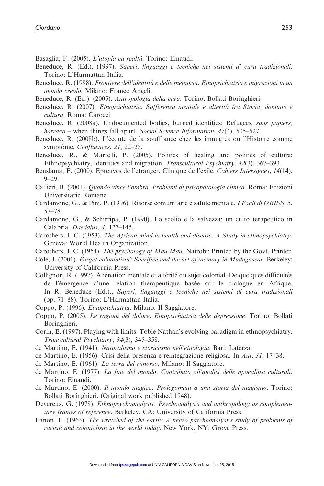Basaglia, F. (2005). L'utopia ca realtà. Torino: Einaudi.

- Beneduce, R. (Ed.). (1997). Saperi, linguaggi e tecniche nei sistemi di cura tradizionali. Torino: L'Harmattan Italia.
- Beneduce, R. (1998). Frontiere dell'identità e delle memoria. Etnopsichiatria e migrazioni in un mondo creolo. Milano: Franco Angeli.
- Beneduce, R. (Ed.). (2005). Antropologia della cura. Torino: Bollati Boringhieri.
- Beneduce, R. (2007). *Etnopsichiatria. Sofferenza mentale e alterità fra Storia, dominio e* cultura. Roma: Carocci.
- Beneduce, R. (2008a). Undocumented bodies, burned identities: Refugees, sans papiers, harraga – when things fall apart. Social Science Information, 47(4), 505–527.
- Beneduce, R. (2008b). L'écoute de la souffrance chez les immigrés ou l'Histoire comme symptôme. Confluences, 21, 22–25.
- Beneduce, R., & Martelli, P. (2005). Politics of healing and politics of culture: Ethnopsychiatry, identities and migration. Transcultural Psychiatry, 42(3), 367–393.
- Benslama, F. (2000). Epreuves de l'étranger. Clinique de l'exile. Cahiers Intersignes, 14(14), 9–29.
- Callieri, B. (2001). Quando vince l'ombra. Problemi di psicopatologia clinica. Roma: Edizioni Universitarie Romane.
- Cardamone, G., & Pini, P. (1996). Risorse comunitarie e salute mentale. I Fogli di ORISS, 5, 57–78.
- Cardamone, G., & Schirripa, P. (1990). Lo scolio e la salvezza: un culto terapeutico in Calabria. Daedalus, 4, 127–145.
- Carothers, J. C. (1953). The African mind in health and disease. A Study in ethnopsychiatry. Geneva: World Health Organization.
- Carothers, J. C. (1954). The psychology of Mau Mau. Nairobi: Printed by the Govt. Printer.
- Cole, J. (2001). Forget colonialism? Sacrifice and the art of memory in Madagascar. Berkeley: University of California Press.
- Collignon, R. (1997). Aliénation mentale et altérité du sujet colonial. De quelques difficultés de l'émergence d'une relation thérapeutique basée sur le dialogue en Afrique. In R. Beneduce (Ed.)., Saperi, linguaggi e tecniche nei sistemi di cura tradizionali (pp. 71–88). Torino: L'Harmattan Italia.
- Coppo, P. (1996). Etnopsichiatria. Milano: Il Saggiatore.
- Coppo, P. (2005). Le ragioni del dolore. Etnopsichiatria delle depressione. Torino: Bollati Boringhieri.
- Corin, E. (1997). Playing with limits: Tobie Nathan's evolving paradigm in ethnopsychiatry. Transcultural Psychiatry, 34(3), 345–358.
- de Martino, E. (1941). Naturalismo e storicismo nell'etnologia. Bari: Laterza.
- de Martino, E. (1956). Crisi della presenza e reintegrazione religiosa. In Aut, 31, 17–38.
- de Martino, E. (1961). La terra del rimorso. Milano: Il Saggiatore.
- de Martino, E. (1977). La fine del mondo. Contributo all'analisi delle apocalipsi culturali. Torino: Einaudi.
- de Martino, E. (2000). Il mondo magico. Prolegomani a una storia del magismo. Torino: Bollati Boringhieri. (Original work published 1948).
- Devereux, G. (1978). *Ethnopsychoanalysis: Psychoanalysis and anthropology as complemen*tary frames of reference. Berkeley, CA: University of California Press.
- Fanon, F. (1963). The wretched of the earth: A negro psychoanalyst's study of problems of racism and colonialism in the world today. New York, NY: Grove Press.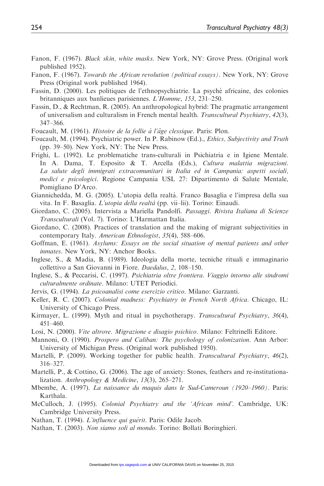- Fanon, F. (1967). Black skin, white masks. New York, NY: Grove Press. (Original work published 1952).
- Fanon, F. (1967). Towards the African revolution (political essays). New York, NY: Grove Press (Original work published 1964).
- Fassin, D. (2000). Les politiques de l'ethnopsychiatrie. La psyché africaine, des colonies britanniques aux banlieues parisiennes. L'Homme, 153, 231–250.
- Fassin, D., & Rechtman, R. (2005). An anthropological hybrid: The pragmatic arrangement of universalism and culturalism in French mental health. Transcultural Psychiatry, 42(3), 347–366.

Foucault, M. (1961). Histoire de la follie à l'âge clessique. Paris: Plon.

- Foucault, M. (1994). Psychiatric power. In P. Rabinow (Ed.)., Ethics, Subjectivity and Truth (pp. 39–50). New York, NY: The New Press.
- Frighi, L. (1992). Le problematiche trans-culturali in Psichiatria e in Igiene Mentale. In A. Dama, T. Esposito & T. Arcella (Eds.), Cultura malattia migrazioni. La salute degli immigrati extracomunitari in Italia ed in Campania: aspetti sociali, medici e psicologici. Regione Campania USL 27: Dipartimento di Salute Mentale, Pomigliano D'Arco.
- Giannichedda, M. G. (2005). L'utopia della realta`. Franco Basaglia e l'impresa della sua vita. In F. Basaglia. L'utopia della realtà (pp. vii-lii). Torino: Einaudi.
- Giordano, C. (2005). Intervista a Mariella Pandolfi. Passaggi. Rivista Italiana di Scienze Transculturali (Vol. 7). Torino: L'Harmattan Italia.
- Giordano, C. (2008). Practices of translation and the making of migrant subjectivities in contemporary Italy. American Ethnologist, 35(4), 588-606.
- Goffman, E. (1961). Asylums: Essays on the social situation of mental patients and other inmates. New York, NY: Anchor Books.
- Inglese, S., & Madia, B. (1989). Ideologia della morte, tecniche rituali e immaginario collettivo a San Giovanni in Fiore. Daedalus, 2, 108–150.
- Inglese, S., & Peccarisi, C. (1997). Psichiatria oltre frontiera. Viaggio intorno alle sindromi culturalmente ordinate. Milano: UTET Periodici.
- Jervis, G. (1994). La psicoanalisi come esercizio critico. Milano: Garzanti.
- Keller, R. C. (2007). Colonial madness: Psychiatry in French North Africa. Chicago, IL: University of Chicago Press.
- Kirmayer, L. (1999). Myth and ritual in psychotherapy. Transcultural Psychiatry, 36(4), 451–460.
- Losi, N. (2000). *Vite altrove. Migrazione e disagio psichico*. Milano: Feltrinelli Editore.
- Mannoni, O. (1990). *Prospero and Caliban: The psychology of colonization*. Ann Arbor: University of Michigan Press. (Original work published 1950).
- Martelli, P. (2009). Working together for public health. Transcultural Psychiatry, 46(2), 316–327.
- Martelli, P., & Cottino, G. (2006). The age of anxiety: Stones, feathers and re-institutionalization. Anthropology & Medicine,  $13(3)$ ,  $265-271$ .
- Mbembe, A. (1997). La naissance du maquis dans le Sud-Cameroun (1920–1960). Paris: Karthala.
- McCulloch, J. (1995). Colonial Psychiatry and the 'African mind'. Cambridge, UK: Cambridge University Press.
- Nathan, T. (1994). L'influence qui guérit. Paris: Odile Jacob.
- Nathan, T. (2003). Non siamo soli al mondo. Torino: Bollati Boringhieri.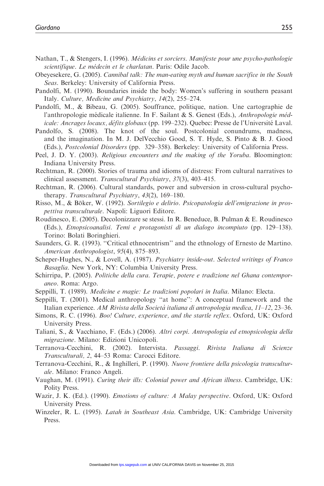- Nathan, T., & Stengers, I. (1996). Médicins et sorciers. Manifeste pour une psycho-pathologie scientifique. Le médecin et le charlatan. Paris: Odile Jacob.
- Obeyesekere, G. (2005). Cannibal talk: The man-eating myth and human sacrifice in the South Seas. Berkeley: University of California Press.
- Pandolfi, M. (1990). Boundaries inside the body: Women's suffering in southern peasant Italy. Culture, Medicine and Psychiatry, 14(2), 255–274.
- Pandolfi, M., & Bibeau, G. (2005). Souffrance, politique, nation. Une cartographie de l'anthropologie médicale italienne. In F. Sailant & S. Genest (Eds.), Anthropologie médicale: Ancrages locaux, défits globaux (pp. 199–232). Quebec: Presse de l'Université Laval.
- Pandolfo, S. (2008). The knot of the soul. Postcolonial conundrums, madness, and the imagination. In M. J. DelVecchio Good, S. T. Hyde, S. Pinto & B. J. Good (Eds.), Postcolonial Disorders (pp. 329–358). Berkeley: University of California Press.
- Peel, J. D. Y. (2003). Religious encounters and the making of the Yoruba. Bloomington: Indiana University Press.
- Rechtman, R. (2000). Stories of trauma and idioms of distress: From cultural narratives to clinical assessment. Transcultural Psychiatry, 37(3), 403–415.
- Rechtman, R. (2006). Cultural standards, power and subversion in cross-cultural psychotherapy. Transcultural Psychiatry,  $43(2)$ , 169–180.
- Risso, M., & Böker, W. (1992). Sortilegio e delirio. Psicopatologia dell'emigrazione in prospettiva transculturale. Napoli: Liguori Editore.
- Roudinesco, E. (2005). Decolonizzare se stessi. In R. Beneduce, B. Pulman & E. Roudinesco (Eds.), Etnopsicoanalisi. Temi e protagonisti di un dialogo incompiuto (pp. 129–138). Torino: Bolati Boringhieri.
- Saunders, G. R. (1993). ''Critical ethnocentrism'' and the ethnology of Ernesto de Martino. American Anthropologist, 95(4), 875–893.
- Scheper-Hughes, N., & Lovell, A. (1987). Psychiatry inside-out. Selected writings of Franco Basaglia. New York, NY: Columbia University Press.
- Schirripa, P. (2005). Politiche della cura. Terapie, potere e tradizione nel Ghana contemporaneo. Roma: Argo.
- Seppilli, T. (1989). Medicine e magie: Le tradizioni popolari in Italia. Milano: Electa.
- Seppilli, T. (2001). Medical anthropology ''at home'': A conceptual framework and the Italian experience. AM Rivista della Società italiana di antropologia medica, 11–12, 23–36.
- Simons, R. C. (1996). Boo! Culture, experience, and the startle reflex. Oxford, UK: Oxford University Press.
- Taliani, S., & Vacchiano, F. (Eds.) (2006). Altri corpi. Antropologia ed etnopsicologia della migrazione. Milano: Edizioni Unicopoli.
- Terranova-Cecchini, R. (2002). Intervista. Passaggi. Rivista Italiana di Scienze Transculturali, 2, 44–53 Roma: Carocci Editore.
- Terranova-Cecchini, R., & Inghilleri, P. (1990). Nuove frontiere della psicologia transculturale. Milano: Franco Angeli.
- Vaughan, M. (1991). Curing their ills: Colonial power and African illness. Cambridge, UK: Polity Press.
- Wazir, J. K. (Ed.). (1990). Emotions of culture: A Malay perspective. Oxford, UK: Oxford University Press.
- Winzeler, R. L. (1995). Latah in Southeast Asia. Cambridge, UK: Cambridge University Press.